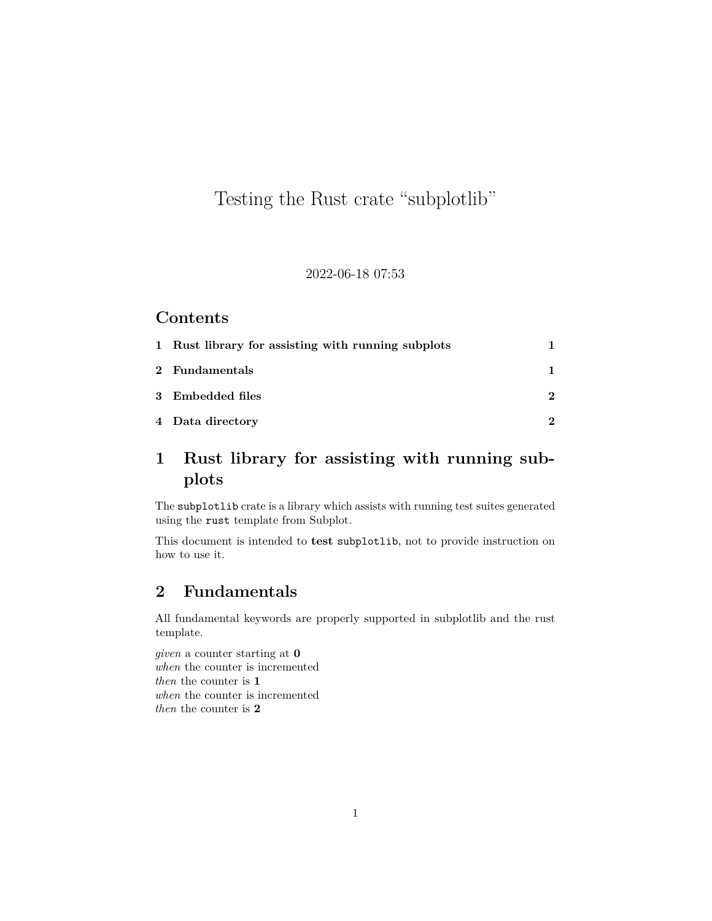# Testing the Rust crate "subplotlib"

#### 2022-06-18 07:53

#### **Contents**

| 1 Rust library for assisting with running subplots |   |
|----------------------------------------------------|---|
| 2 Fundamentals                                     |   |
| 3 Embedded files                                   | 2 |
| 4 Data directory                                   |   |

## <span id="page-0-0"></span>**1 Rust library for assisting with running subplots**

The subplotlib crate is a library which assists with running test suites generated using the rust template from Subplot.

This document is intended to **test** subplotlib, not to provide instruction on how to use it.

### <span id="page-0-1"></span>**2 Fundamentals**

All fundamental keywords are properly supported in subplotlib and the rust template.

*given* a counter starting at **0** *when* the counter is incremented *then* the counter is **1** *when* the counter is incremented *then* the counter is **2**